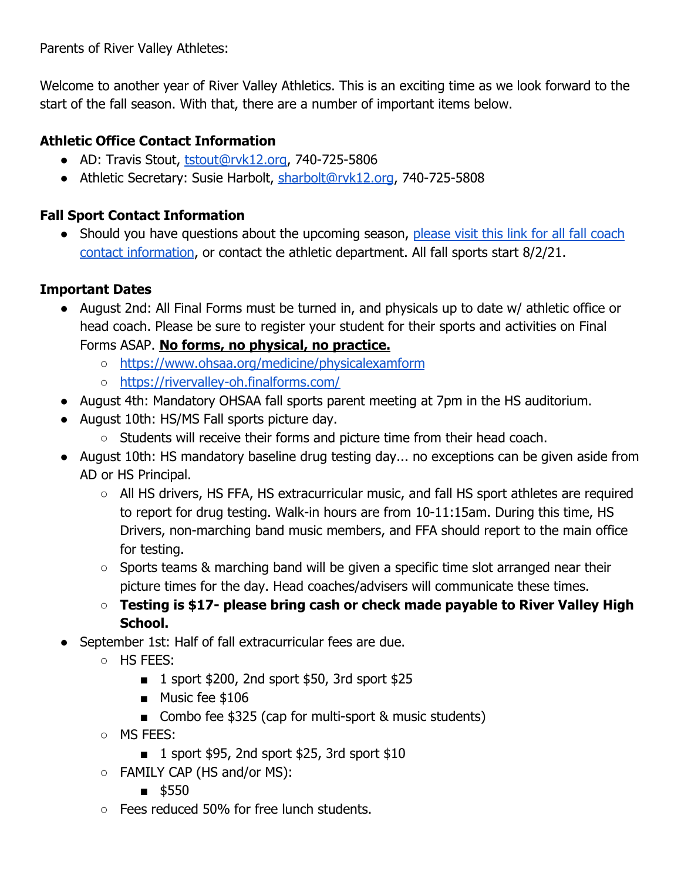Parents of River Valley Athletes:

Welcome to another year of River Valley Athletics. This is an exciting time as we look forward to the start of the fall season. With that, there are a number of important items below.

## **Athletic Office Contact Information**

- AD: Travis Stout, [tstout@rvk12.org](mailto:tstout@rvk12.org), 740-725-5806
- Athletic Secretary: Susie Harbolt, [sharbolt@rvk12.org](mailto:sharbolt@rvk12.org), 740-725-5808

# **Fall Sport Contact Information**

• Should you have questions about the upcoming season, [please visit this link for all fall coach](https://www.rvk12.org/Downloads/Fall%20Coach%20Contact%20Information_.pdf) [contact information,](https://www.rvk12.org/Downloads/Fall%20Coach%20Contact%20Information_.pdf) or contact the athletic department. All fall sports start 8/2/21.

## **Important Dates**

- August 2nd: All Final Forms must be turned in, and physicals up to date w/ athletic office or head coach. Please be sure to register your student for their sports and activities on Final Forms ASAP. **No forms, no physical, no practice.**
	- <https://www.ohsaa.org/medicine/physicalexamform>
	- <https://rivervalley-oh.finalforms.com/>
- August 4th: Mandatory OHSAA fall sports parent meeting at 7pm in the HS auditorium.
- August 10th: HS/MS Fall sports picture day.
	- Students will receive their forms and picture time from their head coach.
- August 10th: HS mandatory baseline drug testing day... no exceptions can be given aside from AD or HS Principal.
	- All HS drivers, HS FFA, HS extracurricular music, and fall HS sport athletes are required to report for drug testing. Walk-in hours are from 10-11:15am. During this time, HS Drivers, non-marching band music members, and FFA should report to the main office for testing.
	- Sports teams & marching band will be given a specific time slot arranged near their picture times for the day. Head coaches/advisers will communicate these times.
	- **○ Testing is \$17- please bring cash or check made payable to River Valley High School.**
- September 1st: Half of fall extracurricular fees are due.
	- HS FEES:
		- 1 sport \$200, 2nd sport \$50, 3rd sport \$25
		- Music fee \$106
		- Combo fee \$325 (cap for multi-sport & music students)
	- MS FEES:
		- 1 sport \$95, 2nd sport \$25, 3rd sport \$10
	- FAMILY CAP (HS and/or MS):
		- \$550
	- Fees reduced 50% for free lunch students.